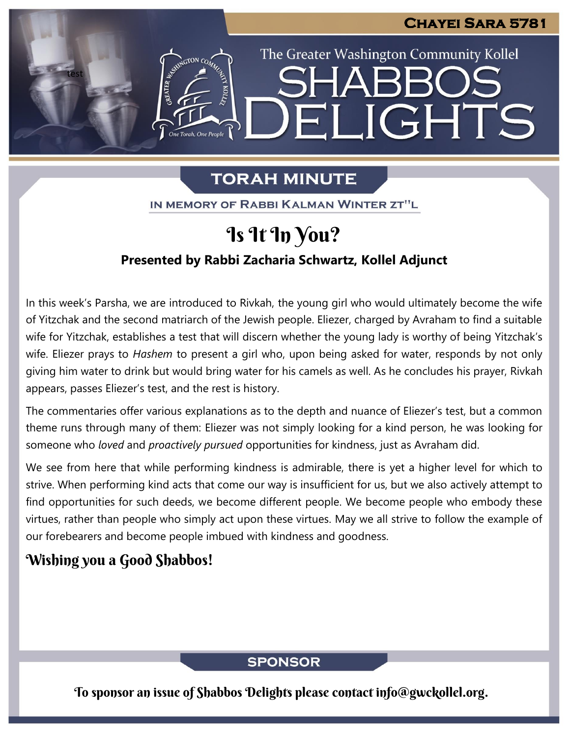The Greater Washington Community Kollel

ELIGHTS

# **TORAH MINUTE**

IN MEMORY OF RABBI KALMAN WINTER ZT"L

# Is It In You?

## **Presented by Rabbi Zacharia Schwartz, Kollel Adjunct**

In this week's Parsha, we are introduced to Rivkah, the young girl who would ultimately become the wife of Yitzchak and the second matriarch of the Jewish people. Eliezer, charged by Avraham to find a suitable wife for Yitzchak, establishes a test that will discern whether the young lady is worthy of being Yitzchak's wife. Eliezer prays to *Hashem* to present a girl who, upon being asked for water, responds by not only giving him water to drink but would bring water for his camels as well. As he concludes his prayer, Rivkah appears, passes Eliezer's test, and the rest is history.

The commentaries offer various explanations as to the depth and nuance of Eliezer's test, but a common theme runs through many of them: Eliezer was not simply looking for a kind person, he was looking for someone who *loved* and *proactively pursued* opportunities for kindness, just as Avraham did.

We see from here that while performing kindness is admirable, there is yet a higher level for which to strive. When performing kind acts that come our way is insufficient for us, but we also actively attempt to find opportunities for such deeds, we become different people. We become people who embody these virtues, rather than people who simply act upon these virtues. May we all strive to follow the example of our forebearers and become people imbued with kindness and goodness.

## Wishing you a Good Shabbos!

test

## **SPONSOR**

To sponsor an issue of Shabbos Delights please contact info@gwckollel.org.